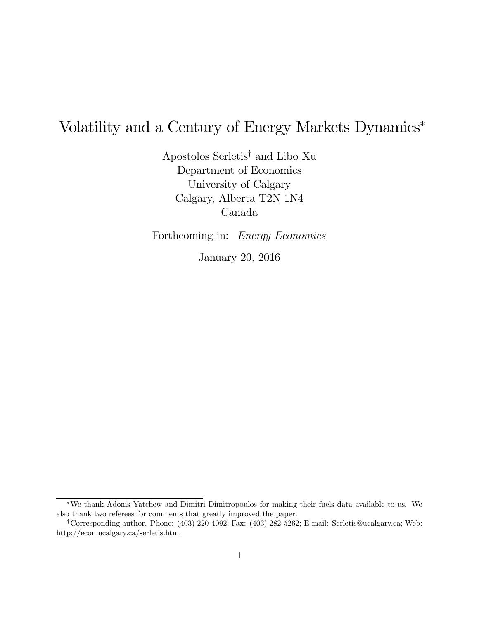# Volatility and a Century of Energy Markets Dynamics

Apostolos Serletis<sup>†</sup> and Libo Xu Department of Economics University of Calgary Calgary, Alberta T2N 1N4 Canada

Forthcoming in: Energy Economics

January 20, 2016

We thank Adonis Yatchew and Dimitri Dimitropoulos for making their fuels data available to us. We also thank two referees for comments that greatly improved the paper.

<sup>&</sup>lt;sup>†</sup>Corresponding author. Phone:  $(403)$  220-4092; Fax:  $(403)$  282-5262; E-mail: Serletis@ucalgary.ca; Web: http://econ.ucalgary.ca/serletis.htm.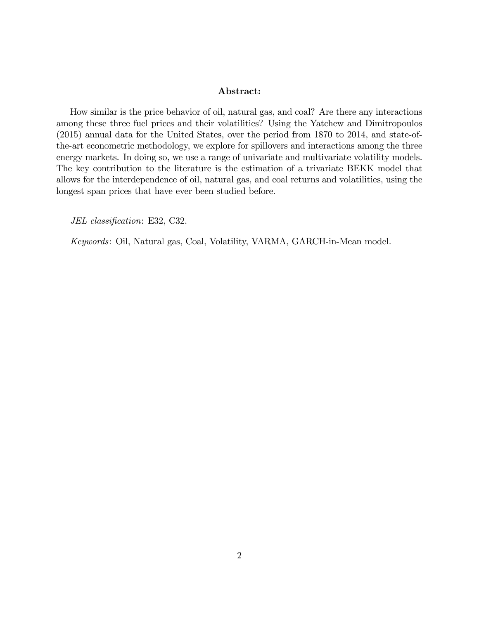#### Abstract:

How similar is the price behavior of oil, natural gas, and coal? Are there any interactions among these three fuel prices and their volatilities? Using the Yatchew and Dimitropoulos (2015) annual data for the United States, over the period from 1870 to 2014, and state-ofthe-art econometric methodology, we explore for spillovers and interactions among the three energy markets. In doing so, we use a range of univariate and multivariate volatility models. The key contribution to the literature is the estimation of a trivariate BEKK model that allows for the interdependence of oil, natural gas, and coal returns and volatilities, using the longest span prices that have ever been studied before.

JEL classification: E32, C32.

Keywords: Oil, Natural gas, Coal, Volatility, VARMA, GARCH-in-Mean model.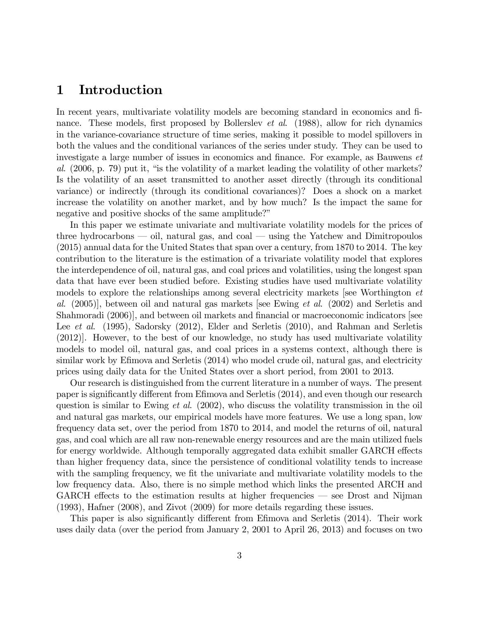# 1 Introduction

In recent years, multivariate volatility models are becoming standard in economics and finance. These models, first proposed by Bollerslev *et al.* (1988), allow for rich dynamics in the variance-covariance structure of time series, making it possible to model spillovers in both the values and the conditional variances of the series under study. They can be used to investigate a large number of issues in economics and finance. For example, as Bauwens et al.  $(2006, p. 79)$  put it, "is the volatility of a market leading the volatility of other markets? Is the volatility of an asset transmitted to another asset directly (through its conditional variance) or indirectly (through its conditional covariances)? Does a shock on a market increase the volatility on another market, and by how much? Is the impact the same for negative and positive shocks of the same amplitude?"

In this paper we estimate univariate and multivariate volatility models for the prices of three hydrocarbons  $\sim$  oil, natural gas, and coal  $\sim$  using the Yatchew and Dimitropoulos (2015) annual data for the United States that span over a century, from 1870 to 2014. The key contribution to the literature is the estimation of a trivariate volatility model that explores the interdependence of oil, natural gas, and coal prices and volatilities, using the longest span data that have ever been studied before. Existing studies have used multivariate volatility models to explore the relationships among several electricity markets [see Worthington et al. (2005)], between oil and natural gas markets [see Ewing et al. (2002) and Serletis and Shahmoradi (2006), and between oil markets and financial or macroeconomic indicators [see Lee *et al.* (1995), Sadorsky (2012), Elder and Serletis (2010), and Rahman and Serletis (2012)]. However, to the best of our knowledge, no study has used multivariate volatility models to model oil, natural gas, and coal prices in a systems context, although there is similar work by Efimova and Serletis (2014) who model crude oil, natural gas, and electricity prices using daily data for the United States over a short period, from 2001 to 2013.

Our research is distinguished from the current literature in a number of ways. The present paper is significantly different from Efimova and Serletis (2014), and even though our research question is similar to Ewing *et al.*  $(2002)$ , who discuss the volatility transmission in the oil and natural gas markets, our empirical models have more features. We use a long span, low frequency data set, over the period from 1870 to 2014, and model the returns of oil, natural gas, and coal which are all raw non-renewable energy resources and are the main utilized fuels for energy worldwide. Although temporally aggregated data exhibit smaller GARCH effects than higher frequency data, since the persistence of conditional volatility tends to increase with the sampling frequency, we fit the univariate and multivariate volatility models to the low frequency data. Also, there is no simple method which links the presented ARCH and GARCH effects to the estimation results at higher frequencies  $\sim$  see Drost and Nijman (1993), Hafner (2008), and Zivot (2009) for more details regarding these issues.

This paper is also significantly different from Efimova and Serletis (2014). Their work uses daily data (over the period from January 2, 2001 to April 26, 2013) and focuses on two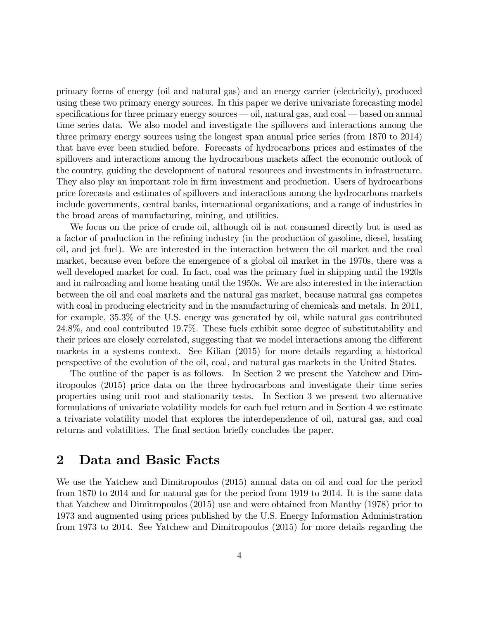primary forms of energy (oil and natural gas) and an energy carrier (electricity), produced using these two primary energy sources. In this paper we derive univariate forecasting model specifications for three primary energy sources  $\sim$  oil, natural gas, and coal  $\sim$  based on annual time series data. We also model and investigate the spillovers and interactions among the three primary energy sources using the longest span annual price series (from 1870 to 2014) that have ever been studied before. Forecasts of hydrocarbons prices and estimates of the spillovers and interactions among the hydrocarbons markets affect the economic outlook of the country, guiding the development of natural resources and investments in infrastructure. They also play an important role in firm investment and production. Users of hydrocarbons price forecasts and estimates of spillovers and interactions among the hydrocarbons markets include governments, central banks, international organizations, and a range of industries in the broad areas of manufacturing, mining, and utilities.

We focus on the price of crude oil, although oil is not consumed directly but is used as a factor of production in the refining industry (in the production of gasoline, diesel, heating oil, and jet fuel). We are interested in the interaction between the oil market and the coal market, because even before the emergence of a global oil market in the 1970s, there was a well developed market for coal. In fact, coal was the primary fuel in shipping until the 1920s and in railroading and home heating until the 1950s. We are also interested in the interaction between the oil and coal markets and the natural gas market, because natural gas competes with coal in producing electricity and in the manufacturing of chemicals and metals. In 2011, for example, 35.3% of the U.S. energy was generated by oil, while natural gas contributed 24.8%, and coal contributed 19.7%. These fuels exhibit some degree of substitutability and their prices are closely correlated, suggesting that we model interactions among the different markets in a systems context. See Kilian (2015) for more details regarding a historical perspective of the evolution of the oil, coal, and natural gas markets in the United States.

The outline of the paper is as follows. In Section 2 we present the Yatchew and Dimitropoulos (2015) price data on the three hydrocarbons and investigate their time series properties using unit root and stationarity tests. In Section 3 we present two alternative formulations of univariate volatility models for each fuel return and in Section 4 we estimate a trivariate volatility model that explores the interdependence of oil, natural gas, and coal returns and volatilities. The final section briefly concludes the paper.

## 2 Data and Basic Facts

We use the Yatchew and Dimitropoulos (2015) annual data on oil and coal for the period from 1870 to 2014 and for natural gas for the period from 1919 to 2014. It is the same data that Yatchew and Dimitropoulos (2015) use and were obtained from Manthy (1978) prior to 1973 and augmented using prices published by the U.S. Energy Information Administration from 1973 to 2014. See Yatchew and Dimitropoulos (2015) for more details regarding the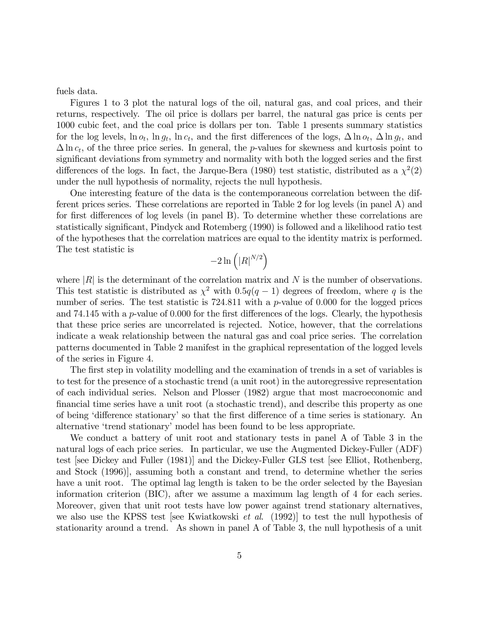fuels data.

Figures 1 to 3 plot the natural logs of the oil, natural gas, and coal prices, and their returns, respectively. The oil price is dollars per barrel, the natural gas price is cents per 1000 cubic feet, and the coal price is dollars per ton. Table 1 presents summary statistics for the log levels,  $\ln o_t$ ,  $\ln g_t$ ,  $\ln c_t$ , and the first differences of the logs,  $\Delta \ln o_t$ ,  $\Delta \ln g_t$ , and  $\Delta \ln c_t$ , of the three price series. In general, the p-values for skewness and kurtosis point to significant deviations from symmetry and normality with both the logged series and the first differences of the logs. In fact, the Jarque-Bera (1980) test statistic, distributed as a  $\chi^2(2)$ under the null hypothesis of normality, rejects the null hypothesis.

One interesting feature of the data is the contemporaneous correlation between the different prices series. These correlations are reported in Table 2 for log levels (in panel A) and for first differences of log levels (in panel B). To determine whether these correlations are statistically significant, Pindyck and Rotemberg (1990) is followed and a likelihood ratio test of the hypotheses that the correlation matrices are equal to the identity matrix is performed. The test statistic is

 $-2\ln\left(|R|^{N/2}\right)$ 

where  $|R|$  is the determinant of the correlation matrix and N is the number of observations. This test statistic is distributed as  $\chi^2$  with  $0.5q(q-1)$  degrees of freedom, where q is the number of series. The test statistic is 724.811 with a p-value of 0.000 for the logged prices and 74.145 with a p-value of 0.000 for the first differences of the logs. Clearly, the hypothesis that these price series are uncorrelated is rejected. Notice, however, that the correlations indicate a weak relationship between the natural gas and coal price series. The correlation patterns documented in Table 2 manifest in the graphical representation of the logged levels of the series in Figure 4.

The first step in volatility modelling and the examination of trends in a set of variables is to test for the presence of a stochastic trend (a unit root) in the autoregressive representation of each individual series. Nelson and Plosser (1982) argue that most macroeconomic and financial time series have a unit root (a stochastic trend), and describe this property as one of being 'difference stationary' so that the first difference of a time series is stationary. An alternative ëtrend stationaryímodel has been found to be less appropriate.

We conduct a battery of unit root and stationary tests in panel A of Table 3 in the natural logs of each price series. In particular, we use the Augmented Dickey-Fuller (ADF) test [see Dickey and Fuller (1981)] and the Dickey-Fuller GLS test [see Elliot, Rothenberg, and Stock (1996)], assuming both a constant and trend, to determine whether the series have a unit root. The optimal lag length is taken to be the order selected by the Bayesian information criterion (BIC), after we assume a maximum lag length of 4 for each series. Moreover, given that unit root tests have low power against trend stationary alternatives, we also use the KPSS test [see Kwiatkowski *et al.* (1992)] to test the null hypothesis of stationarity around a trend. As shown in panel A of Table 3, the null hypothesis of a unit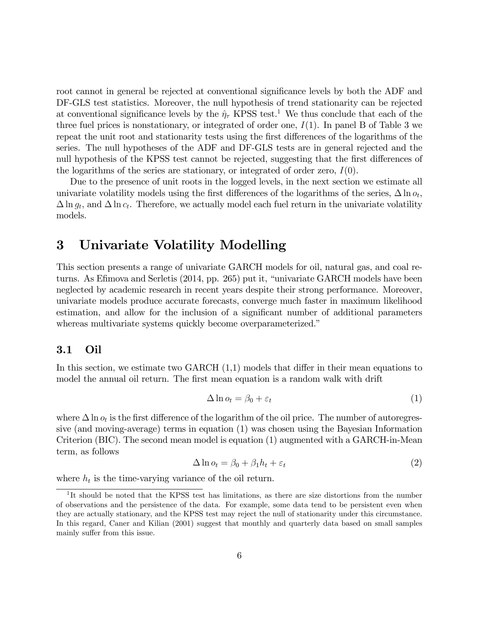root cannot in general be rejected at conventional significance levels by both the ADF and DF-GLS test statistics. Moreover, the null hypothesis of trend stationarity can be rejected at conventional significance levels by the  $\hat{\eta}_{\tau}$  KPSS test.<sup>1</sup> We thus conclude that each of the three fuel prices is nonstationary, or integrated of order one,  $I(1)$ . In panel B of Table 3 we repeat the unit root and stationarity tests using the first differences of the logarithms of the series. The null hypotheses of the ADF and DF-GLS tests are in general rejected and the null hypothesis of the KPSS test cannot be rejected, suggesting that the first differences of the logarithms of the series are stationary, or integrated of order zero,  $I(0)$ .

Due to the presence of unit roots in the logged levels, in the next section we estimate all univariate volatility models using the first differences of the logarithms of the series,  $\Delta \ln o_t$ ,  $\Delta \ln g_t$ , and  $\Delta \ln c_t$ . Therefore, we actually model each fuel return in the univariate volatility models.

# 3 Univariate Volatility Modelling

This section presents a range of univariate GARCH models for oil, natural gas, and coal returns. As Efimova and Serletis (2014, pp. 265) put it, "univariate GARCH models have been neglected by academic research in recent years despite their strong performance. Moreover, univariate models produce accurate forecasts, converge much faster in maximum likelihood estimation, and allow for the inclusion of a significant number of additional parameters whereas multivariate systems quickly become overparameterized."

### 3.1 Oil

In this section, we estimate two GARCH  $(1,1)$  models that differ in their mean equations to model the annual oil return. The first mean equation is a random walk with drift

$$
\Delta \ln o_t = \beta_0 + \varepsilon_t \tag{1}
$$

where  $\Delta \ln o_t$  is the first difference of the logarithm of the oil price. The number of autoregressive (and moving-average) terms in equation (1) was chosen using the Bayesian Information Criterion (BIC). The second mean model is equation (1) augmented with a GARCH-in-Mean term, as follows

$$
\Delta \ln o_t = \beta_0 + \beta_1 h_t + \varepsilon_t \tag{2}
$$

where  $h_t$  is the time-varying variance of the oil return.

<sup>&</sup>lt;sup>1</sup>It should be noted that the KPSS test has limitations, as there are size distortions from the number of observations and the persistence of the data. For example, some data tend to be persistent even when they are actually stationary, and the KPSS test may reject the null of stationarity under this circumstance. In this regard, Caner and Kilian (2001) suggest that monthly and quarterly data based on small samples mainly suffer from this issue.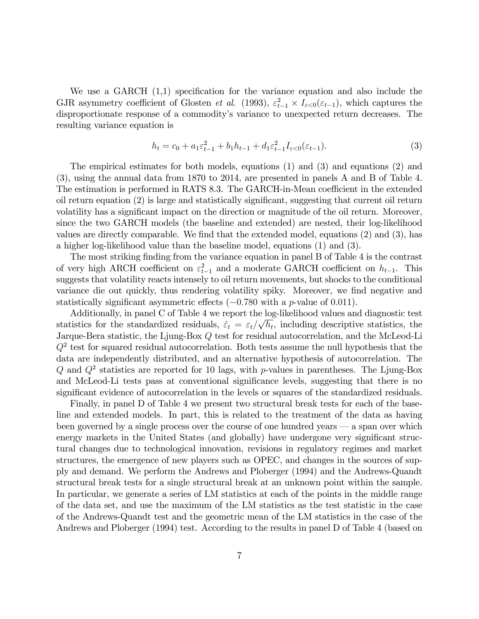We use a GARCH  $(1,1)$  specification for the variance equation and also include the GJR asymmetry coefficient of Glosten *et al.* (1993),  $\varepsilon_{t-1}^2 \times I_{\varepsilon < 0}(\varepsilon_{t-1})$ , which captures the disproportionate response of a commodity's variance to unexpected return decreases. The resulting variance equation is

$$
h_t = c_0 + a_1 \varepsilon_{t-1}^2 + b_1 h_{t-1} + d_1 \varepsilon_{t-1}^2 I_{\varepsilon < 0}(\varepsilon_{t-1}).\tag{3}
$$

The empirical estimates for both models, equations (1) and (3) and equations (2) and (3), using the annual data from 1870 to 2014, are presented in panels A and B of Table 4. The estimation is performed in RATS 8.3. The GARCH-in-Mean coefficient in the extended oil return equation  $(2)$  is large and statistically significant, suggesting that current oil return volatility has a significant impact on the direction or magnitude of the oil return. Moreover, since the two GARCH models (the baseline and extended) are nested, their log-likelihood values are directly comparable. We find that the extended model, equations  $(2)$  and  $(3)$ , has a higher log-likelihood value than the baseline model, equations (1) and (3).

The most striking finding from the variance equation in panel B of Table 4 is the contrast of very high ARCH coefficient on  $\varepsilon_{t-1}^2$  and a moderate GARCH coefficient on  $h_{t-1}$ . This suggests that volatility reacts intensely to oil return movements, but shocks to the conditional variance die out quickly, thus rendering volatility spiky. Moreover, we find negative and statistically significant asymmetric effects  $(-0.780 \text{ with a } p\text{-value of } 0.011).$ 

Additionally, in panel C of Table 4 we report the log-likelihood values and diagnostic test statistics for the standardized residuals,  $\hat{\epsilon}_t = \epsilon_t/\sqrt{h_t}$ , including descriptive statistics, the Jarque-Bera statistic, the Ljung-Box Q test for residual autocorrelation, and the McLeod-Li  $Q<sup>2</sup>$  test for squared residual autocorrelation. Both tests assume the null hypothesis that the data are independently distributed, and an alternative hypothesis of autocorrelation. The Q and  $Q^2$  statistics are reported for 10 lags, with p-values in parentheses. The Ljung-Box and McLeod-Li tests pass at conventional significance levels, suggesting that there is no significant evidence of autocorrelation in the levels or squares of the standardized residuals.

Finally, in panel D of Table 4 we present two structural break tests for each of the baseline and extended models. In part, this is related to the treatment of the data as having been governed by a single process over the course of one hundred years  $\sim$  a span over which energy markets in the United States (and globally) have undergone very significant structural changes due to technological innovation, revisions in regulatory regimes and market structures, the emergence of new players such as OPEC, and changes in the sources of supply and demand. We perform the Andrews and Ploberger (1994) and the Andrews-Quandt structural break tests for a single structural break at an unknown point within the sample. In particular, we generate a series of LM statistics at each of the points in the middle range of the data set, and use the maximum of the LM statistics as the test statistic in the case of the Andrews-Quandt test and the geometric mean of the LM statistics in the case of the Andrews and Ploberger (1994) test. According to the results in panel D of Table 4 (based on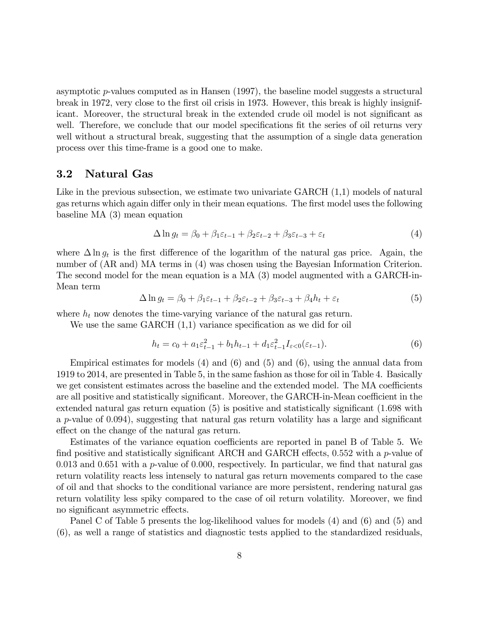asymptotic p-values computed as in Hansen (1997), the baseline model suggests a structural break in 1972, very close to the first oil crisis in 1973. However, this break is highly insignificant. Moreover, the structural break in the extended crude oil model is not significant as well. Therefore, we conclude that our model specifications fit the series of oil returns very well without a structural break, suggesting that the assumption of a single data generation process over this time-frame is a good one to make.

#### 3.2 Natural Gas

Like in the previous subsection, we estimate two univariate GARCH  $(1,1)$  models of natural gas returns which again differ only in their mean equations. The first model uses the following baseline MA (3) mean equation

$$
\Delta \ln g_t = \beta_0 + \beta_1 \varepsilon_{t-1} + \beta_2 \varepsilon_{t-2} + \beta_3 \varepsilon_{t-3} + \varepsilon_t \tag{4}
$$

where  $\Delta \ln g_t$  is the first difference of the logarithm of the natural gas price. Again, the number of  $(AR \text{ and}) \text{ MA terms in (4) was chosen using the Bayesian Information Criterion.}$ The second model for the mean equation is a MA (3) model augmented with a GARCH-in-Mean term

$$
\Delta \ln g_t = \beta_0 + \beta_1 \varepsilon_{t-1} + \beta_2 \varepsilon_{t-2} + \beta_3 \varepsilon_{t-3} + \beta_4 h_t + \varepsilon_t \tag{5}
$$

where  $h_t$  now denotes the time-varying variance of the natural gas return.

We use the same GARCH  $(1,1)$  variance specification as we did for oil

$$
h_t = c_0 + a_1 \varepsilon_{t-1}^2 + b_1 h_{t-1} + d_1 \varepsilon_{t-1}^2 I_{\varepsilon < 0}(\varepsilon_{t-1}).\tag{6}
$$

Empirical estimates for models (4) and (6) and (5) and (6), using the annual data from 1919 to 2014, are presented in Table 5, in the same fashion as those for oil in Table 4. Basically we get consistent estimates across the baseline and the extended model. The MA coefficients are all positive and statistically significant. Moreover, the GARCH-in-Mean coefficient in the extended natural gas return equation  $(5)$  is positive and statistically significant  $(1.698 \text{ with}$ a p-value of  $(0.094)$ , suggesting that natural gas return volatility has a large and significant effect on the change of the natural gas return.

Estimates of the variance equation coefficients are reported in panel B of Table 5. We find positive and statistically significant ARCH and GARCH effects,  $0.552$  with a p-value of 0.013 and 0.651 with a p-value of 0.000, respectively. In particular, we find that natural gas return volatility reacts less intensely to natural gas return movements compared to the case of oil and that shocks to the conditional variance are more persistent, rendering natural gas return volatility less spiky compared to the case of oil return volatility. Moreover, we find no significant asymmetric effects.

Panel C of Table 5 presents the log-likelihood values for models (4) and (6) and (5) and (6), as well a range of statistics and diagnostic tests applied to the standardized residuals,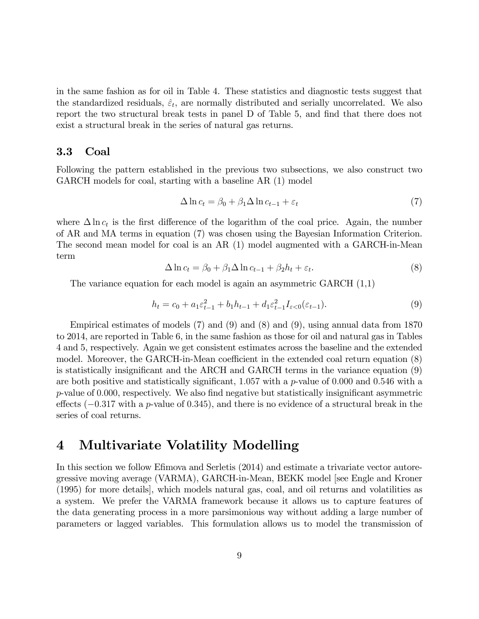in the same fashion as for oil in Table 4. These statistics and diagnostic tests suggest that the standardized residuals,  $\hat{\varepsilon}_t$ , are normally distributed and serially uncorrelated. We also report the two structural break tests in panel D of Table 5, and find that there does not exist a structural break in the series of natural gas returns.

### 3.3 Coal

Following the pattern established in the previous two subsections, we also construct two GARCH models for coal, starting with a baseline AR (1) model

$$
\Delta \ln c_t = \beta_0 + \beta_1 \Delta \ln c_{t-1} + \varepsilon_t \tag{7}
$$

where  $\Delta \ln c_t$  is the first difference of the logarithm of the coal price. Again, the number of AR and MA terms in equation (7) was chosen using the Bayesian Information Criterion. The second mean model for coal is an AR (1) model augmented with a GARCH-in-Mean term

$$
\Delta \ln c_t = \beta_0 + \beta_1 \Delta \ln c_{t-1} + \beta_2 h_t + \varepsilon_t.
$$
\n(8)

The variance equation for each model is again an asymmetric GARCH  $(1,1)$ 

$$
h_t = c_0 + a_1 \varepsilon_{t-1}^2 + b_1 h_{t-1} + d_1 \varepsilon_{t-1}^2 I_{\varepsilon < 0}(\varepsilon_{t-1}).\tag{9}
$$

Empirical estimates of models (7) and (9) and (8) and (9), using annual data from 1870 to 2014, are reported in Table 6, in the same fashion as those for oil and natural gas in Tables 4 and 5, respectively. Again we get consistent estimates across the baseline and the extended model. Moreover, the GARCH-in-Mean coefficient in the extended coal return equation (8) is statistically insignificant and the ARCH and GARCH terms in the variance equation (9) are both positive and statistically significant,  $1.057$  with a p-value of 0.000 and 0.546 with a  $p$ -value of 0.000, respectively. We also find negative but statistically insignificant asymmetric effects  $(-0.317 \text{ with a } p\text{-value of } 0.345)$ , and there is no evidence of a structural break in the series of coal returns.

# 4 Multivariate Volatility Modelling

In this section we follow Efimova and Serletis (2014) and estimate a trivariate vector autoregressive moving average (VARMA), GARCH-in-Mean, BEKK model [see Engle and Kroner (1995) for more details], which models natural gas, coal, and oil returns and volatilities as a system. We prefer the VARMA framework because it allows us to capture features of the data generating process in a more parsimonious way without adding a large number of parameters or lagged variables. This formulation allows us to model the transmission of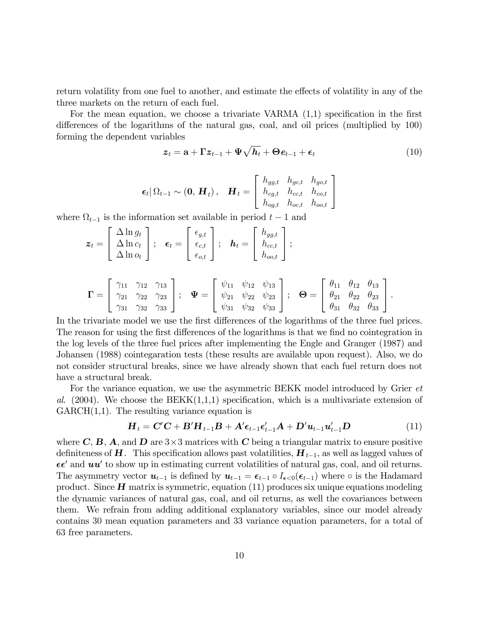return volatility from one fuel to another, and estimate the effects of volatility in any of the three markets on the return of each fuel.

For the mean equation, we choose a trivariate VARMA  $(1,1)$  specification in the first differences of the logarithms of the natural gas, coal, and oil prices (multiplied by 100) forming the dependent variables

$$
\boldsymbol{z}_t = \mathbf{a} + \boldsymbol{\Gamma} \boldsymbol{z}_{t-1} + \boldsymbol{\Psi} \sqrt{\boldsymbol{h}_t} + \boldsymbol{\Theta} \boldsymbol{e}_{t-1} + \boldsymbol{\epsilon}_t \tag{10}
$$

 $\vert \cdot$ 

$$
\boldsymbol{\epsilon}_{t} | \Omega_{t-1} \sim (\boldsymbol{0}, \boldsymbol{H}_{t}), \quad \boldsymbol{H}_{t} = \left[ \begin{array}{cc} h_{gg,t} & h_{gc,t} & h_{go,t} \\ h_{cg,t} & h_{cc,t} & h_{co,t} \\ h_{og,t} & h_{oc,t} & h_{oo,t} \end{array} \right]
$$

where  $\Omega_{t-1}$  is the information set available in period  $t-1$  and

$$
\mathbf{z}_{t} = \begin{bmatrix} \Delta \ln g_{t} \\ \Delta \ln c_{t} \\ \Delta \ln o_{t} \end{bmatrix}; \quad \boldsymbol{\epsilon}_{t} = \begin{bmatrix} \epsilon_{g,t} \\ \epsilon_{c,t} \\ \epsilon_{o,t} \end{bmatrix}; \quad \boldsymbol{h}_{t} = \begin{bmatrix} h_{gg,t} \\ h_{cc,t} \\ h_{oo,t} \end{bmatrix};
$$
\n
$$
\boldsymbol{\Gamma} = \begin{bmatrix} \gamma_{11} & \gamma_{12} & \gamma_{13} \\ \gamma_{21} & \gamma_{22} & \gamma_{23} \\ \gamma_{31} & \gamma_{32} & \gamma_{33} \end{bmatrix}; \quad \boldsymbol{\Psi} = \begin{bmatrix} \psi_{11} & \psi_{12} & \psi_{13} \\ \psi_{21} & \psi_{22} & \psi_{23} \\ \psi_{31} & \psi_{32} & \psi_{33} \end{bmatrix}; \quad \boldsymbol{\Theta} = \begin{bmatrix} \theta_{11} & \theta_{12} & \theta_{13} \\ \theta_{21} & \theta_{22} & \theta_{23} \\ \theta_{31} & \theta_{32} & \theta_{33} \end{bmatrix}
$$

In the trivariate model we use the first differences of the logarithms of the three fuel prices. The reason for using the first differences of the logarithms is that we find no cointegration in the log levels of the three fuel prices after implementing the Engle and Granger (1987) and Johansen (1988) cointegaration tests (these results are available upon request). Also, we do not consider structural breaks, since we have already shown that each fuel return does not have a structural break.

For the variance equation, we use the asymmetric BEKK model introduced by Grier *et* al.  $(2004)$ . We choose the BEKK $(1,1,1)$  specification, which is a multivariate extension of  $GARCH(1,1)$ . The resulting variance equation is

$$
\boldsymbol{H}_t = \boldsymbol{C}'\boldsymbol{C} + \boldsymbol{B}'\boldsymbol{H}_{t-1}\boldsymbol{B} + \boldsymbol{A}'\boldsymbol{\epsilon}_{t-1}\boldsymbol{\epsilon}'_{t-1}\boldsymbol{A} + \boldsymbol{D}'\boldsymbol{u}_{t-1}\boldsymbol{u}'_{t-1}\boldsymbol{D}
$$
(11)

where  $C, B, A$ , and  $D$  are  $3 \times 3$  matrices with  $C$  being a triangular matrix to ensure positive definiteness of  $H$ . This specification allows past volatilities,  $H_{t-1}$ , as well as lagged values of  $\epsilon \epsilon'$  and  $uu'$  to show up in estimating current volatilities of natural gas, coal, and oil returns. The asymmetry vector  $u_{t-1}$  is defined by  $u_{t-1} = \epsilon_{t-1} \circ I_{\epsilon < 0}(\epsilon_{t-1})$  where  $\circ$  is the Hadamard product. Since  $H$  matrix is symmetric, equation (11) produces six unique equations modeling the dynamic variances of natural gas, coal, and oil returns, as well the covariances between them. We refrain from adding additional explanatory variables, since our model already contains 30 mean equation parameters and 33 variance equation parameters, for a total of 63 free parameters.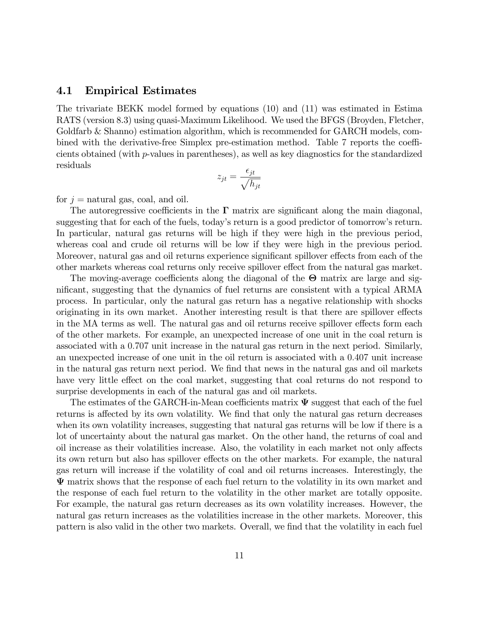### 4.1 Empirical Estimates

The trivariate BEKK model formed by equations (10) and (11) was estimated in Estima RATS (version 8.3) using quasi-Maximum Likelihood. We used the BFGS (Broyden, Fletcher, Goldfarb & Shanno) estimation algorithm, which is recommended for GARCH models, combined with the derivative-free Simplex pre-estimation method. Table 7 reports the coefficients obtained (with p-values in parentheses), as well as key diagnostics for the standardized residuals

$$
z_{jt} = \frac{\epsilon_{jt}}{\sqrt{h_{jt}}}
$$

for  $j =$  natural gas, coal, and oil.

The autoregressive coefficients in the  $\Gamma$  matrix are significant along the main diagonal, suggesting that for each of the fuels, today's return is a good predictor of tomorrow's return. In particular, natural gas returns will be high if they were high in the previous period, whereas coal and crude oil returns will be low if they were high in the previous period. Moreover, natural gas and oil returns experience significant spillover effects from each of the other markets whereas coal returns only receive spillover effect from the natural gas market.

The moving-average coefficients along the diagonal of the  $\Theta$  matrix are large and significant, suggesting that the dynamics of fuel returns are consistent with a typical ARMA process. In particular, only the natural gas return has a negative relationship with shocks originating in its own market. Another interesting result is that there are spillover effects in the MA terms as well. The natural gas and oil returns receive spillover effects form each of the other markets. For example, an unexpected increase of one unit in the coal return is associated with a 0:707 unit increase in the natural gas return in the next period. Similarly, an unexpected increase of one unit in the oil return is associated with a 0:407 unit increase in the natural gas return next period. We find that news in the natural gas and oil markets have very little effect on the coal market, suggesting that coal returns do not respond to surprise developments in each of the natural gas and oil markets.

The estimates of the GARCH-in-Mean coefficients matrix  $\Psi$  suggest that each of the fuel returns is affected by its own volatility. We find that only the natural gas return decreases when its own volatility increases, suggesting that natural gas returns will be low if there is a lot of uncertainty about the natural gas market. On the other hand, the returns of coal and oil increase as their volatilities increase. Also, the volatility in each market not only affects its own return but also has spillover effects on the other markets. For example, the natural gas return will increase if the volatility of coal and oil returns increases. Interestingly, the  $\Psi$  matrix shows that the response of each fuel return to the volatility in its own market and the response of each fuel return to the volatility in the other market are totally opposite. For example, the natural gas return decreases as its own volatility increases. However, the natural gas return increases as the volatilities increase in the other markets. Moreover, this pattern is also valid in the other two markets. Overall, we find that the volatility in each fuel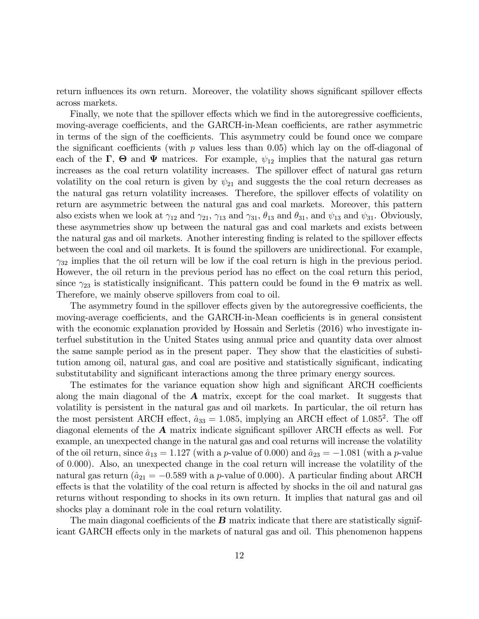return influences its own return. Moreover, the volatility shows significant spillover effects across markets.

Finally, we note that the spillover effects which we find in the autoregressive coefficients, moving-average coefficients, and the GARCH-in-Mean coefficients, are rather asymmetric in terms of the sign of the coefficients. This asymmetry could be found once we compare the significant coefficients (with  $p$  values less than 0.05) which lay on the off-diagonal of each of the  $\Gamma$ ,  $\Theta$  and  $\Psi$  matrices. For example,  $\psi_{12}$  implies that the natural gas return increases as the coal return volatility increases. The spillover effect of natural gas return volatility on the coal return is given by  $\psi_{21}$  and suggests the the coal return decreases as the natural gas return volatility increases. Therefore, the spillover effects of volatility on return are asymmetric between the natural gas and coal markets. Moreover, this pattern also exists when we look at  $\gamma_{12}$  and  $\gamma_{21}$ ,  $\gamma_{13}$  and  $\gamma_{31}$ ,  $\theta_{13}$  and  $\theta_{31}$ , and  $\psi_{13}$  and  $\psi_{31}$ . Obviously, these asymmetries show up between the natural gas and coal markets and exists between the natural gas and oil markets. Another interesting finding is related to the spillover effects between the coal and oil markets. It is found the spillovers are unidirectional. For example,  $\gamma_{32}$  implies that the oil return will be low if the coal return is high in the previous period. However, the oil return in the previous period has no effect on the coal return this period, since  $\gamma_{23}$  is statistically insignificant. This pattern could be found in the  $\Theta$  matrix as well. Therefore, we mainly observe spillovers from coal to oil.

The asymmetry found in the spillover effects given by the autoregressive coefficients, the moving-average coefficients, and the GARCH-in-Mean coefficients is in general consistent with the economic explanation provided by Hossain and Serletis  $(2016)$  who investigate interfuel substitution in the United States using annual price and quantity data over almost the same sample period as in the present paper. They show that the elasticities of substitution among oil, natural gas, and coal are positive and statistically significant, indicating substitutability and significant interactions among the three primary energy sources.

The estimates for the variance equation show high and significant ARCH coefficients along the main diagonal of the A matrix, except for the coal market. It suggests that volatility is persistent in the natural gas and oil markets. In particular, the oil return has the most persistent ARCH effect,  $\hat{a}_{33} = 1.085$ , implying an ARCH effect of 1.085<sup>2</sup>. The off diagonal elements of the  $\bf{A}$  matrix indicate significant spillover ARCH effects as well. For example, an unexpected change in the natural gas and coal returns will increase the volatility of the oil return, since  $\hat{a}_{13} = 1.127$  (with a p-value of 0.000) and  $\hat{a}_{23} = -1.081$  (with a p-value of 0:000). Also, an unexpected change in the coal return will increase the volatility of the natural gas return ( $\hat{a}_{21} = -0.589$  with a p-value of 0.000). A particular finding about ARCH effects is that the volatility of the coal return is affected by shocks in the oil and natural gas returns without responding to shocks in its own return. It implies that natural gas and oil shocks play a dominant role in the coal return volatility.

The main diagonal coefficients of the  $B$  matrix indicate that there are statistically significant GARCH effects only in the markets of natural gas and oil. This phenomenon happens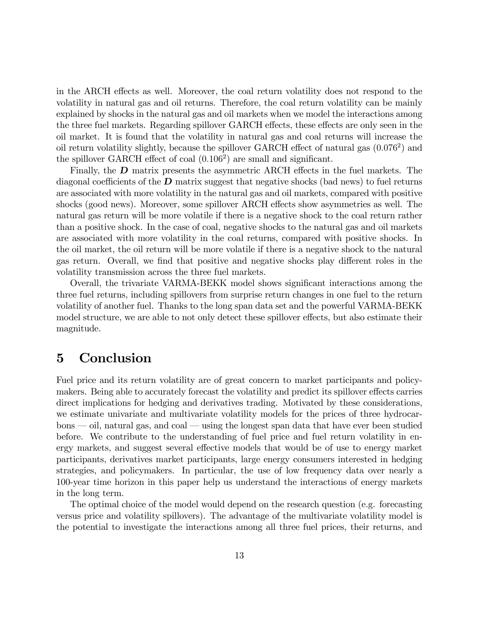in the ARCH effects as well. Moreover, the coal return volatility does not respond to the volatility in natural gas and oil returns. Therefore, the coal return volatility can be mainly explained by shocks in the natural gas and oil markets when we model the interactions among the three fuel markets. Regarding spillover GARCH effects, these effects are only seen in the oil market. It is found that the volatility in natural gas and coal returns will increase the oil return volatility slightly, because the spillover GARCH effect of natural gas  $(0.076^2)$  and the spillover GARCH effect of coal  $(0.106<sup>2</sup>)$  are small and significant.

Finally, the  $D$  matrix presents the asymmetric ARCH effects in the fuel markets. The diagonal coefficients of the  $D$  matrix suggest that negative shocks (bad news) to fuel returns are associated with more volatility in the natural gas and oil markets, compared with positive shocks (good news). Moreover, some spillover ARCH effects show asymmetries as well. The natural gas return will be more volatile if there is a negative shock to the coal return rather than a positive shock. In the case of coal, negative shocks to the natural gas and oil markets are associated with more volatility in the coal returns, compared with positive shocks. In the oil market, the oil return will be more volatile if there is a negative shock to the natural gas return. Overall, we find that positive and negative shocks play different roles in the volatility transmission across the three fuel markets.

Overall, the trivariate VARMA-BEKK model shows significant interactions among the three fuel returns, including spillovers from surprise return changes in one fuel to the return volatility of another fuel. Thanks to the long span data set and the powerful VARMA-BEKK model structure, we are able to not only detect these spillover effects, but also estimate their magnitude.

# 5 Conclusion

Fuel price and its return volatility are of great concern to market participants and policymakers. Being able to accurately forecast the volatility and predict its spillover effects carries direct implications for hedging and derivatives trading. Motivated by these considerations, we estimate univariate and multivariate volatility models for the prices of three hydrocar $b$ ons  $\sim$  oil, natural gas, and coal  $\sim$  using the longest span data that have ever been studied before. We contribute to the understanding of fuel price and fuel return volatility in energy markets, and suggest several effective models that would be of use to energy market participants, derivatives market participants, large energy consumers interested in hedging strategies, and policymakers. In particular, the use of low frequency data over nearly a 100-year time horizon in this paper help us understand the interactions of energy markets in the long term.

The optimal choice of the model would depend on the research question (e.g. forecasting versus price and volatility spillovers). The advantage of the multivariate volatility model is the potential to investigate the interactions among all three fuel prices, their returns, and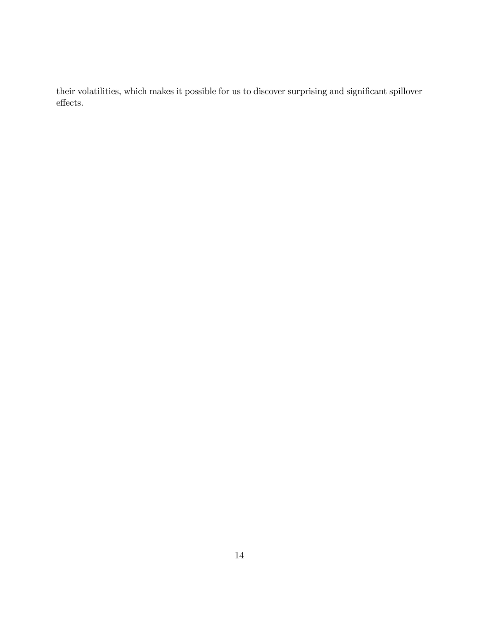their volatilities, which makes it possible for us to discover surprising and significant spillover  $% \mathcal{N}$  ${\rm effects.}$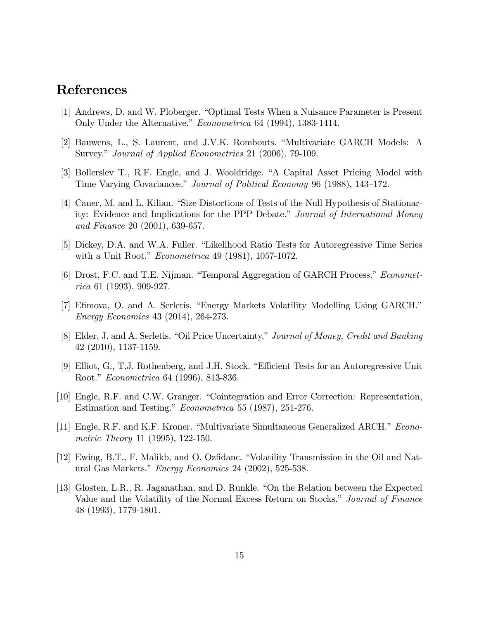# References

- [1] Andrews, D. and W. Ploberger. "Optimal Tests When a Nuisance Parameter is Present Only Under the Alternative." Econometrica 64 (1994), 1383-1414.
- [2] Bauwens, L., S. Laurent, and J.V.K. Rombouts. "Multivariate GARCH Models: A Survey." Journal of Applied Econometrics 21 (2006), 79-109.
- [3] Bollerslev T., R.F. Engle, and J. Wooldridge. "A Capital Asset Pricing Model with Time Varying Covariances." Journal of Political Economy 96 (1988), 143–172.
- $[4]$  Caner, M. and L. Kilian. "Size Distortions of Tests of the Null Hypothesis of Stationarity: Evidence and Implications for the PPP Debate." Journal of International Money and Finance 20 (2001), 639-657.
- [5] Dickey, D.A. and W.A. Fuller. "Likelihood Ratio Tests for Autoregressive Time Series with a Unit Root." *Econometrica* 49 (1981), 1057-1072.
- [6] Drost, F.C. and T.E. Nijman. "Temporal Aggregation of GARCH Process." Economet $rica 61 (1993), 909-927.$
- [7] Efimova, O. and A. Serletis. "Energy Markets Volatility Modelling Using GARCH." Energy Economics 43 (2014), 264-273.
- [8] Elder, J. and A. Serletis. "Oil Price Uncertainty." *Journal of Money, Credit and Banking* 42 (2010), 1137-1159.
- [9] Elliot, G., T.J. Rothenberg, and J.H. Stock. "Efficient Tests for an Autoregressive Unit Root." *Econometrica* 64 (1996), 813-836.
- [10] Engle, R.F. and C.W. Granger. "Cointegration and Error Correction: Representation, Estimation and Testing."  $Econometrica$  55 (1987), 251-276.
- [11] Engle, R.F. and K.F. Kroner. "Multivariate Simultaneous Generalized ARCH." Econometric Theory 11 (1995), 122-150.
- [12] Ewing, B.T., F. Malikb, and O. Ozfidanc. "Volatility Transmission in the Oil and Natural Gas Markets." *Energy Economics* 24 (2002), 525-538.
- [13] Glosten, L.R., R. Jaganathan, and D. Runkle. "On the Relation between the Expected Value and the Volatility of the Normal Excess Return on Stocks." Journal of Finance 48 (1993), 1779-1801.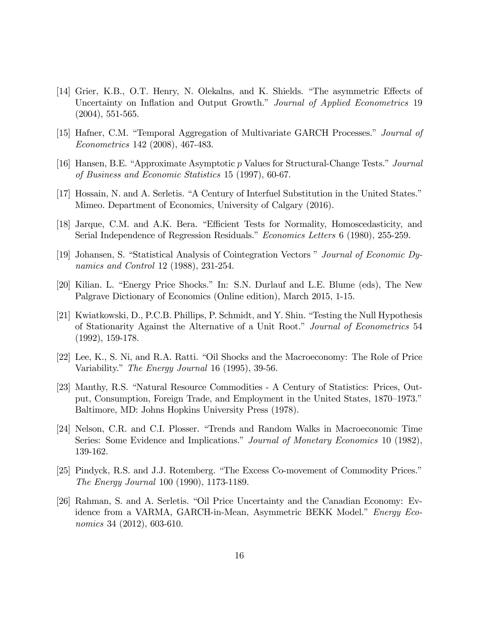- [14] Grier, K.B., O.T. Henry, N. Olekalns, and K. Shields. "The asymmetric Effects of Uncertainty on Inflation and Output Growth." Journal of Applied Econometrics 19 (2004), 551-565.
- [15] Hafner, C.M. "Temporal Aggregation of Multivariate GARCH Processes." *Journal of* Econometrics 142 (2008), 467-483.
- [16] Hansen, B.E. "Approximate Asymptotic  $p$  Values for Structural-Change Tests." Journal of Business and Economic Statistics 15 (1997), 60-67.
- [17] Hossain, N. and A. Serletis. "A Century of Interfuel Substitution in the United States." Mimeo. Department of Economics, University of Calgary (2016).
- [18] Jarque, C.M. and A.K. Bera. "Efficient Tests for Normality, Homoscedasticity, and Serial Independence of Regression Residuals." *Economics Letters* 6 (1980), 255-259.
- [19] Johansen, S. "Statistical Analysis of Cointegration Vectors " Journal of Economic Dynamics and Control 12 (1988), 231-254.
- [20] Kilian. L. "Energy Price Shocks." In: S.N. Durlauf and L.E. Blume (eds), The New Palgrave Dictionary of Economics (Online edition), March 2015, 1-15.
- [21] Kwiatkowski, D., P.C.B. Phillips, P. Schmidt, and Y. Shin. "Testing the Null Hypothesis of Stationarity Against the Alternative of a Unit Root." Journal of Econometrics 54 (1992), 159-178.
- [22] Lee, K., S. Ni, and R.A. Ratti. "Oil Shocks and the Macroeconomy: The Role of Price Variability." The Energy Journal 16  $(1995)$ , 39-56.
- [23] Manthy, R.S. "Natural Resource Commodities A Century of Statistics: Prices, Output, Consumption, Foreign Trade, and Employment in the United States, 1870–1973.<sup>n</sup> Baltimore, MD: Johns Hopkins University Press (1978).
- [24] Nelson, C.R. and C.I. Plosser. "Trends and Random Walks in Macroeconomic Time Series: Some Evidence and Implications." Journal of Monetary Economics 10 (1982), 139-162.
- [25] Pindyck, R.S. and J.J. Rotemberg. "The Excess Co-movement of Commodity Prices." The Energy Journal 100 (1990), 1173-1189.
- $[26]$  Rahman, S. and A. Serletis. "Oil Price Uncertainty and the Canadian Economy: Evidence from a VARMA, GARCH-in-Mean, Asymmetric BEKK Model." Energy Economics 34 (2012), 603-610.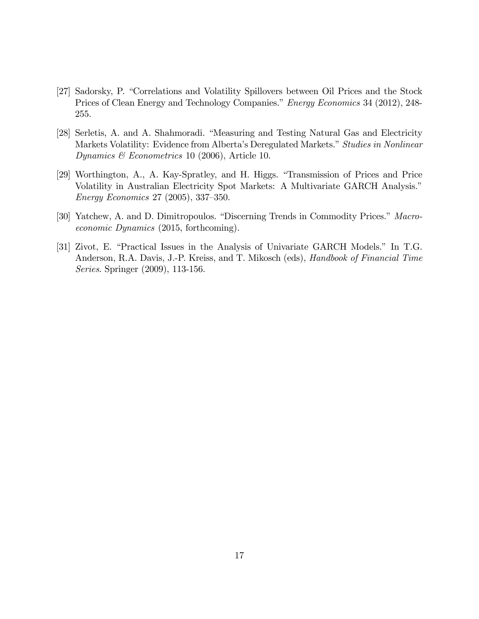- [27] Sadorsky, P. "Correlations and Volatility Spillovers between Oil Prices and the Stock Prices of Clean Energy and Technology Companies." Energy Economics 34 (2012), 248-255.
- [28] Serletis, A. and A. Shahmoradi. "Measuring and Testing Natural Gas and Electricity Markets Volatility: Evidence from Alberta's Deregulated Markets." Studies in Nonlinear Dynamics  $\mathcal C$  Econometrics 10 (2006), Article 10.
- [29] Worthington, A., A. Kay-Spratley, and H. Higgs. "Transmission of Prices and Price Volatility in Australian Electricity Spot Markets: A Multivariate GARCH Analysis." Energy Economics 27 (2005), 337–350.
- [30] Yatchew, A. and D. Dimitropoulos. "Discerning Trends in Commodity Prices." Macroeconomic Dynamics (2015, forthcoming).
- [31] Zivot, E. "Practical Issues in the Analysis of Univariate GARCH Models." In T.G. Anderson, R.A. Davis, J.-P. Kreiss, and T. Mikosch (eds), Handbook of Financial Time Series. Springer (2009), 113-156.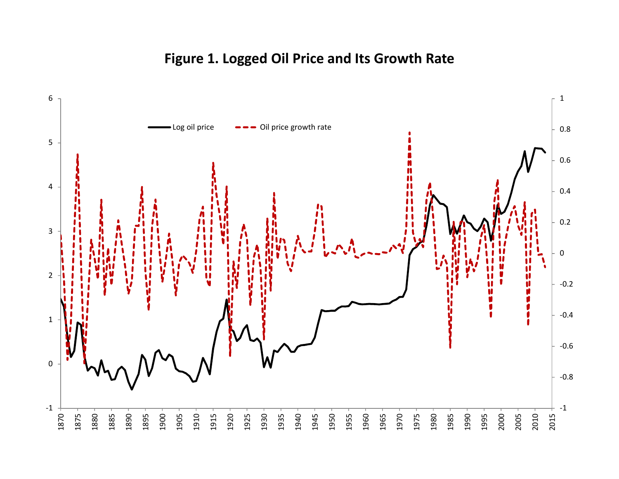# **Figure 1. Logged Oil Price and Its Growth Rate**

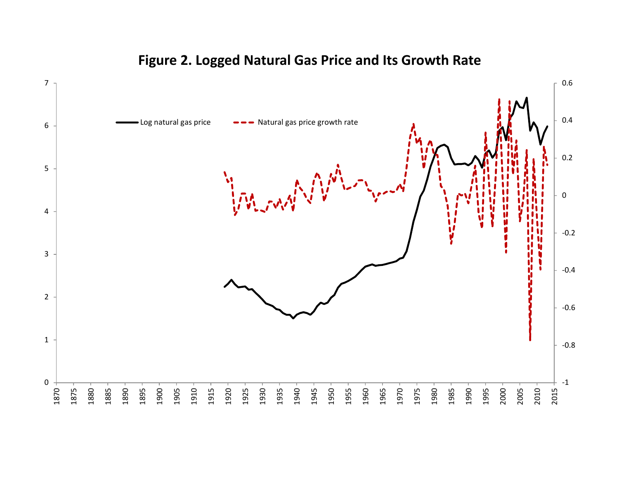# **Figure 2. Logged Natural Gas Price and Its Growth Rate**

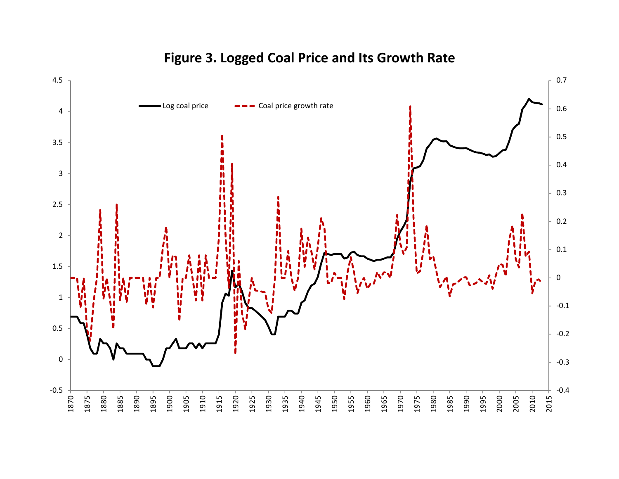

# **Figure 3. Logged Coal Price and Its Growth Rate**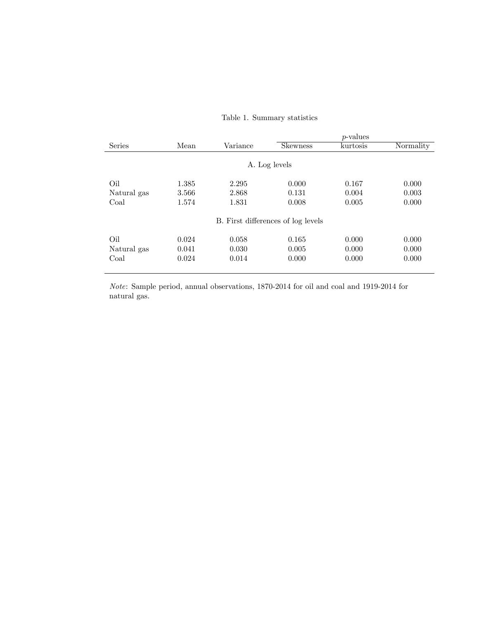|               |       |          |                                    | $p$ -values |           |
|---------------|-------|----------|------------------------------------|-------------|-----------|
| <b>Series</b> | Mean  | Variance | <b>Skewness</b>                    | kurtosis    | Normality |
|               |       |          |                                    |             |           |
|               |       |          | A. Log levels                      |             |           |
| Oil           | 1.385 | 2.295    | 0.000                              | 0.167       | 0.000     |
| Natural gas   | 3.566 | 2.868    | 0.131                              | 0.004       | 0.003     |
| Coal          | 1.574 | 1.831    | 0.008                              | 0.005       | 0.000     |
|               |       |          | B. First differences of log levels |             |           |
| Oil           | 0.024 | 0.058    | 0.165                              | 0.000       | 0.000     |
| Natural gas   | 0.041 | 0.030    | 0.005                              | 0.000       | 0.000     |
| Coal          | 0.024 | 0.014    | 0.000                              | 0.000       | 0.000     |

### Table 1. Summary statistics

Note: Sample period, annual observations, 1870-2014 for oil and coal and 1919-2014 for natural gas.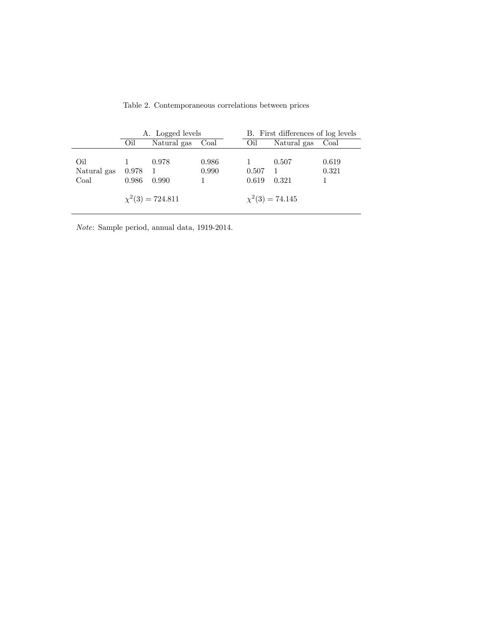|             | A. Logged levels           |       |                      | B. First differences of log levels |       |       |
|-------------|----------------------------|-------|----------------------|------------------------------------|-------|-------|
|             | Natural gas<br>Coal<br>Oil |       | Oil                  | Natural gas                        | Coal  |       |
|             |                            |       |                      |                                    |       |       |
| Oil         |                            | 0.978 | 0.986                |                                    | 0.507 | 0.619 |
| Natural gas | 0.978                      |       | 0.990                | 0.507                              |       | 0.321 |
| Coal        | 0.986                      | 0.990 |                      | 0.619                              | 0.321 |       |
|             |                            |       |                      |                                    |       |       |
|             | $\chi^2(3) = 724.811$      |       | $\chi^2(3) = 74.145$ |                                    |       |       |
|             |                            |       |                      |                                    |       |       |

Table 2. Contemporaneous correlations between prices

Note: Sample period, annual data, 1919-2014.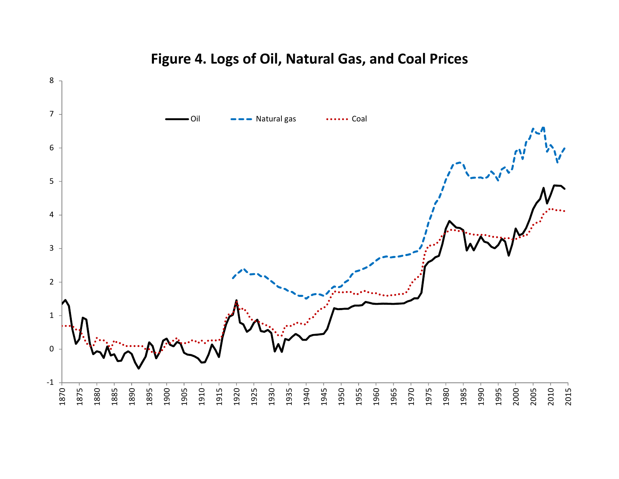

# **Figure 4. Logs of Oil, Natural Gas, and Coal Prices**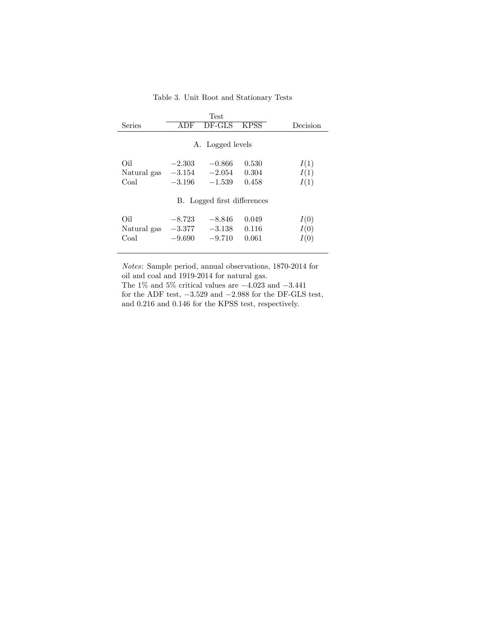|  |  | Table 3. Unit Root and Stationary Tests |  |
|--|--|-----------------------------------------|--|
|  |  |                                         |  |

| <b>Test</b> |          |                             |             |          |  |  |  |
|-------------|----------|-----------------------------|-------------|----------|--|--|--|
| Series      | ADF      | DF-GLS                      | <b>KPSS</b> | Decision |  |  |  |
|             |          |                             |             |          |  |  |  |
|             |          | A. Logged levels            |             |          |  |  |  |
|             |          |                             |             |          |  |  |  |
| Oil         | $-2.303$ | $-0.866$                    | 0.530       | I(1)     |  |  |  |
| Natural gas | $-3.154$ | $-2.054$                    | 0.304       | I(1)     |  |  |  |
| Coal        | $-3.196$ | $-1.539$                    | 0.458       | I(1)     |  |  |  |
|             |          |                             |             |          |  |  |  |
|             |          | B. Logged first differences |             |          |  |  |  |
|             |          |                             |             |          |  |  |  |
| Oil         | $-8.723$ | $-8.846$                    | 0.049       | I(0)     |  |  |  |
| Natural gas | $-3.377$ | $-3.138$                    | 0.116       | I(0)     |  |  |  |
| Coal        | $-9.690$ | $-9.710$                    | 0.061       | I(0)     |  |  |  |
|             |          |                             |             |          |  |  |  |

Notes: Sample period, annual observations, 1870-2014 for oil and coal and 1919-2014 for natural gas. The  $1\%$  and  $5\%$  critical values are  $-4.023$  and  $-3.441$ for the ADF test,  $-3.529$  and  $-2.988$  for the DF-GLS test, and  $0.216$  and  $0.146$  for the KPSS test, respectively.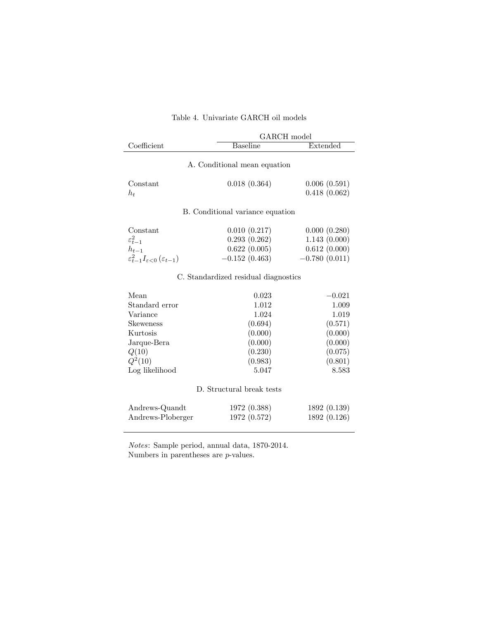### Table 4. Univariate GARCH oil models

|                                                                                                                    | <b>GARCH</b> model                                                                      |                                                                                            |  |  |  |
|--------------------------------------------------------------------------------------------------------------------|-----------------------------------------------------------------------------------------|--------------------------------------------------------------------------------------------|--|--|--|
| Coefficient                                                                                                        | <b>Baseline</b>                                                                         | Extended                                                                                   |  |  |  |
| A. Conditional mean equation                                                                                       |                                                                                         |                                                                                            |  |  |  |
| Constant<br>$h_t$                                                                                                  | 0.018(0.364)                                                                            | 0.006(0.591)<br>0.418(0.062)                                                               |  |  |  |
|                                                                                                                    | B. Conditional variance equation                                                        |                                                                                            |  |  |  |
| Constant<br>$\varepsilon_{t-1}^2$<br>$h_{t-1}$<br>$\varepsilon_{t-1}^2 I_{\varepsilon < 0} (\varepsilon_{t-1})$    | 0.010(0.217)<br>0.293(0.262)<br>0.622(0.005)<br>$-0.152(0.463)$                         | 0.000(0.280)<br>1.143(0.000)<br>0.612(0.000)<br>$-0.780(0.011)$                            |  |  |  |
|                                                                                                                    | C. Standardized residual diagnostics                                                    |                                                                                            |  |  |  |
| Mean<br>Standard error<br>Variance<br>Skeweness<br>Kurtosis<br>Jarque-Bera<br>Q(10)<br>$Q^2(10)$<br>Log likelihood | 0.023<br>1.012<br>1.024<br>(0.694)<br>(0.000)<br>(0.000)<br>(0.230)<br>(0.983)<br>5.047 | $-0.021$<br>1.009<br>1.019<br>(0.571)<br>(0.000)<br>(0.000)<br>(0.075)<br>(0.801)<br>8.583 |  |  |  |
| D. Structural break tests                                                                                          |                                                                                         |                                                                                            |  |  |  |
| Andrews-Quandt<br>Andrews-Ploberger                                                                                | 1972 (0.388)<br>1972 (0.572)                                                            | 1892 (0.139)<br>1892 (0.126)                                                               |  |  |  |

Notes: Sample period, annual data, 1870-2014. Numbers in parentheses are p-values.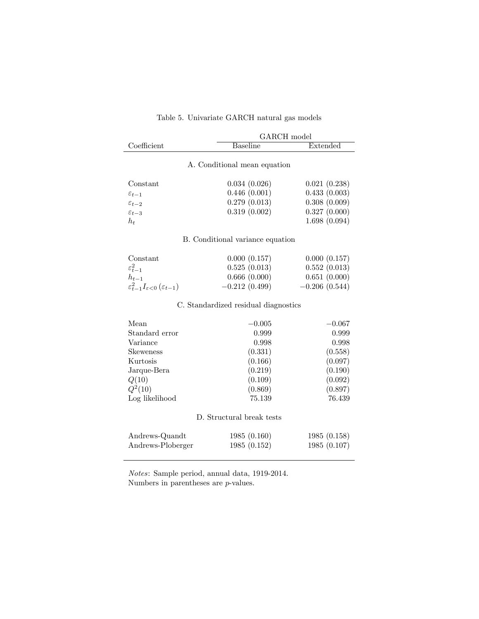### Table 5. Univariate GARCH natural gas models

|                                                               | GARCH model                          |                 |  |  |
|---------------------------------------------------------------|--------------------------------------|-----------------|--|--|
| Coefficient                                                   | <b>Baseline</b>                      | Extended        |  |  |
|                                                               | A. Conditional mean equation         |                 |  |  |
| Constant                                                      | 0.034(0.026)                         | 0.021(0.238)    |  |  |
| $\varepsilon_{t-1}$                                           | 0.446(0.001)                         | 0.433(0.003)    |  |  |
| $\varepsilon_{t-2}$                                           | 0.279(0.013)                         | 0.308(0.009)    |  |  |
| $\varepsilon_{t-3}$                                           | 0.319(0.002)                         | 0.327(0.000)    |  |  |
| $h_t$                                                         |                                      | 1.698(0.094)    |  |  |
|                                                               | B. Conditional variance equation     |                 |  |  |
| Constant                                                      | 0.000(0.157)                         | 0.000(0.157)    |  |  |
| $\varepsilon_{t-1}^2$                                         | 0.525(0.013)                         | 0.552(0.013)    |  |  |
| $h_{t-1}$                                                     | 0.666(0.000)                         | 0.651(0.000)    |  |  |
| $\varepsilon_{t-1}^2 I_{\varepsilon < 0} (\varepsilon_{t-1})$ | $-0.212(0.499)$                      | $-0.206(0.544)$ |  |  |
|                                                               | C. Standardized residual diagnostics |                 |  |  |
| Mean                                                          | $-0.005$                             | $-0.067$        |  |  |
| Standard error                                                | 0.999                                | 0.999           |  |  |
| Variance                                                      | 0.998                                | 0.998           |  |  |
| Skeweness                                                     | (0.331)                              | (0.558)         |  |  |
| Kurtosis                                                      | (0.166)                              | (0.097)         |  |  |
| Jarque-Bera                                                   | (0.219)                              | (0.190)         |  |  |
| Q(10)                                                         | (0.109)                              | (0.092)         |  |  |
| $Q^2(10)$                                                     | (0.869)                              | (0.897)         |  |  |
| Log likelihood                                                | 75.139                               | 76.439          |  |  |
|                                                               | D. Structural break tests            |                 |  |  |
| Andrews-Quandt                                                | 1985(0.160)                          | 1985(0.158)     |  |  |
| Andrews-Ploberger                                             | 1985 (0.152)                         | 1985 (0.107)    |  |  |

Notes: Sample period, annual data, 1919-2014. Numbers in parentheses are p-values.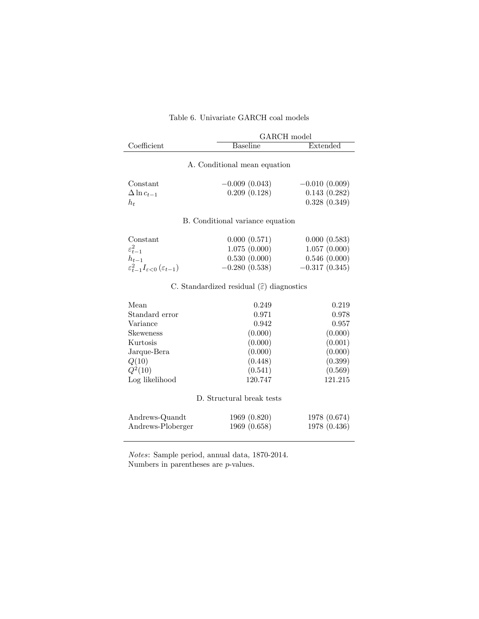#### Table 6. Univariate GARCH coal models

|                                                               | GARCH model                                                    |                              |  |  |
|---------------------------------------------------------------|----------------------------------------------------------------|------------------------------|--|--|
| Coefficient                                                   | <b>Baseline</b>                                                | Extended                     |  |  |
|                                                               | A. Conditional mean equation                                   |                              |  |  |
| Constant                                                      | $-0.009(0.043)$                                                | $-0.010(0.009)$              |  |  |
| $\Delta \ln c_{t-1}$<br>$h_t$                                 | 0.209(0.128)                                                   | 0.143(0.282)<br>0.328(0.349) |  |  |
|                                                               | B. Conditional variance equation                               |                              |  |  |
| Constant                                                      | 0.000(0.571)                                                   | 0.000(0.583)                 |  |  |
| $\varepsilon_{t-1}^2$                                         | 1.075(0.000)                                                   | 1.057(0.000)                 |  |  |
| $h_{t-1}$                                                     | 0.530(0.000)                                                   | 0.546(0.000)                 |  |  |
| $\varepsilon_{t-1}^2 I_{\varepsilon < 0} (\varepsilon_{t-1})$ | $-0.280(0.538)$                                                | $-0.317(0.345)$              |  |  |
|                                                               | C. Standardized residual $(\widehat{\varepsilon})$ diagnostics |                              |  |  |
| Mean                                                          | 0.249                                                          | 0.219                        |  |  |
| Standard error                                                | 0.971                                                          | 0.978                        |  |  |
| Variance                                                      | 0.942                                                          | 0.957                        |  |  |
| <b>Skeweness</b>                                              | (0.000)                                                        | (0.000)                      |  |  |
| Kurtosis                                                      | (0.000)                                                        | (0.001)                      |  |  |
| Jarque-Bera                                                   | (0.000)                                                        | (0.000)                      |  |  |
| Q(10)                                                         | (0.448)                                                        | (0.399)                      |  |  |
| $Q^2(10)$                                                     | (0.541)                                                        | (0.569)                      |  |  |
| Log likelihood                                                | 120.747                                                        | 121.215                      |  |  |
|                                                               | D. Structural break tests                                      |                              |  |  |
| Andrews-Quandt                                                | 1969 (0.820)                                                   | 1978 (0.674)                 |  |  |
| Andrews-Ploberger                                             | 1969 (0.658)                                                   | 1978 (0.436)                 |  |  |

Notes: Sample period, annual data, 1870-2014. Numbers in parentheses are p-values.